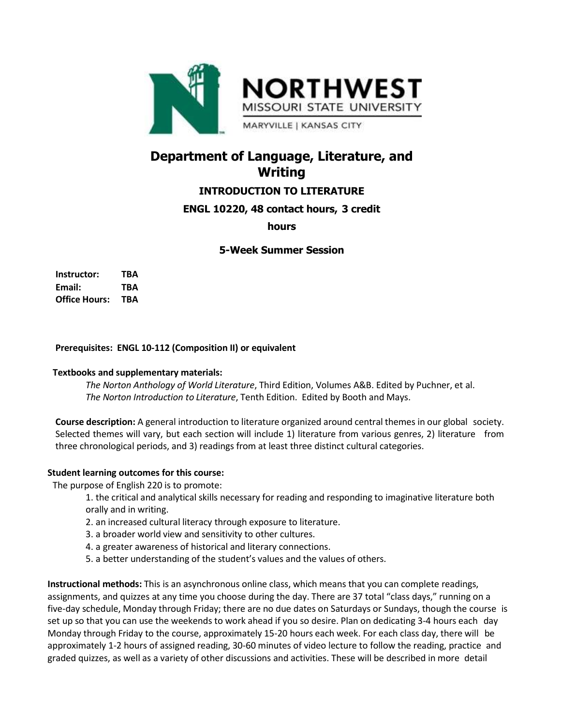



MARYVILLE | KANSAS CITY

# **Department of Language, Literature, and Writing**

## **INTRODUCTION TO LITERATURE**

## **ENGL 10220, 48 contact hours, 3 credit**

**hours**

## **5-Week Summer Session**

**Instructor: TBA Email: TBA Office Hours: TBA**

### **Prerequisites: ENGL 10-112 (Composition II) or equivalent**

#### **Textbooks and supplementary materials:**

*The Norton Anthology of World Literature*, Third Edition, Volumes A&B. Edited by Puchner, et al. *The Norton Introduction to Literature*, Tenth Edition. Edited by Booth and Mays.

**Course description:** A general introduction to literature organized around central themes in our global society. Selected themes will vary, but each section will include 1) literature from various genres, 2) literature from three chronological periods, and 3) readings from at least three distinct cultural categories.

#### **Student learning outcomes for this course:**

The purpose of English 220 is to promote:

- 1. the critical and analytical skills necessary for reading and responding to imaginative literature both orally and in writing.
- 2. an increased cultural literacy through exposure to literature.
- 3. a broader world view and sensitivity to other cultures.
- 4. a greater awareness of historical and literary connections.
- 5. a better understanding of the student's values and the values of others.

**Instructional methods:** This is an asynchronous online class, which means that you can complete readings, assignments, and quizzes at any time you choose during the day. There are 37 total "class days," running on a five-day schedule, Monday through Friday; there are no due dates on Saturdays or Sundays, though the course is set up so that you can use the weekends to work ahead if you so desire. Plan on dedicating 3-4 hours each day Monday through Friday to the course, approximately 15-20 hours each week. For each class day, there will be approximately 1-2 hours of assigned reading, 30-60 minutes of video lecture to follow the reading, practice and graded quizzes, as well as a variety of other discussions and activities. These will be described in more detail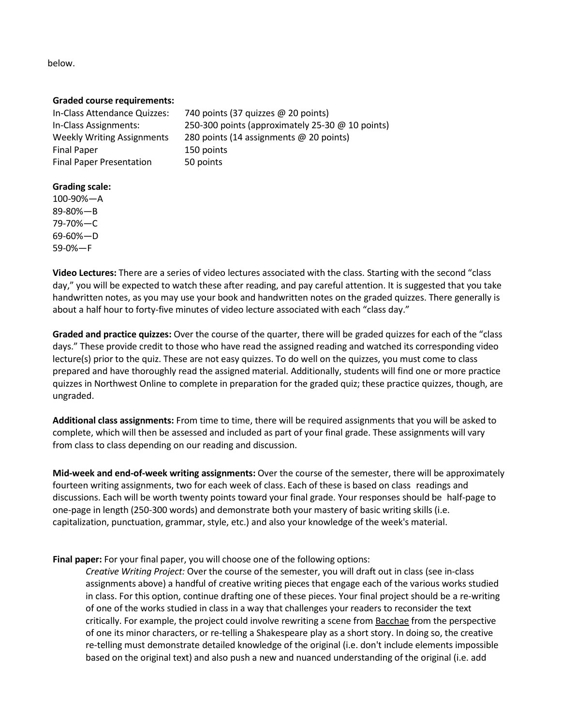below.

#### **Graded course requirements:**

In-Class Attendance Quizzes: 740 points (37 quizzes @ 20 points) In-Class Assignments: 250-300 points (approximately 25-30 @ 10 points) Weekly Writing Assignments 280 points (14 assignments @ 20 points) Final Paper 150 points Final Paper Presentation 50 points

### **Grading scale:**

100-90%—A 89-80%—B 79-70%—C 69-60%—D 59-0%—F

**Video Lectures:** There are a series of video lectures associated with the class. Starting with the second "class day," you will be expected to watch these after reading, and pay careful attention. It is suggested that you take handwritten notes, as you may use your book and handwritten notes on the graded quizzes. There generally is about a half hour to forty-five minutes of video lecture associated with each "class day."

**Graded and practice quizzes:** Over the course of the quarter, there will be graded quizzes for each of the "class days." These provide credit to those who have read the assigned reading and watched its corresponding video lecture(s) prior to the quiz. These are not easy quizzes. To do well on the quizzes, you must come to class prepared and have thoroughly read the assigned material. Additionally, students will find one or more practice quizzes in Northwest Online to complete in preparation for the graded quiz; these practice quizzes, though, are ungraded.

**Additional class assignments:** From time to time, there will be required assignments that you will be asked to complete, which will then be assessed and included as part of your final grade. These assignments will vary from class to class depending on our reading and discussion.

**Mid-week and end-of-week writing assignments:** Over the course of the semester, there will be approximately fourteen writing assignments, two for each week of class. Each of these is based on class readings and discussions. Each will be worth twenty points toward your final grade. Your responses should be half-page to one-page in length (250-300 words) and demonstrate both your mastery of basic writing skills (i.e. capitalization, punctuation, grammar, style, etc.) and also your knowledge of the week's material.

**Final paper:** For your final paper, you will choose one of the following options:

*Creative Writing Project:* Over the course of the semester, you will draft out in class (see in-class assignments above) a handful of creative writing pieces that engage each of the various works studied in class. For this option, continue drafting one of these pieces. Your final project should be a re-writing of one of the works studied in class in a way that challenges your readers to reconsider the text critically. For example, the project could involve rewriting a scene from Bacchae from the perspective of one its minor characters, or re-telling a Shakespeare play as a short story. In doing so, the creative re-telling must demonstrate detailed knowledge of the original (i.e. don't include elements impossible based on the original text) and also push a new and nuanced understanding of the original (i.e. add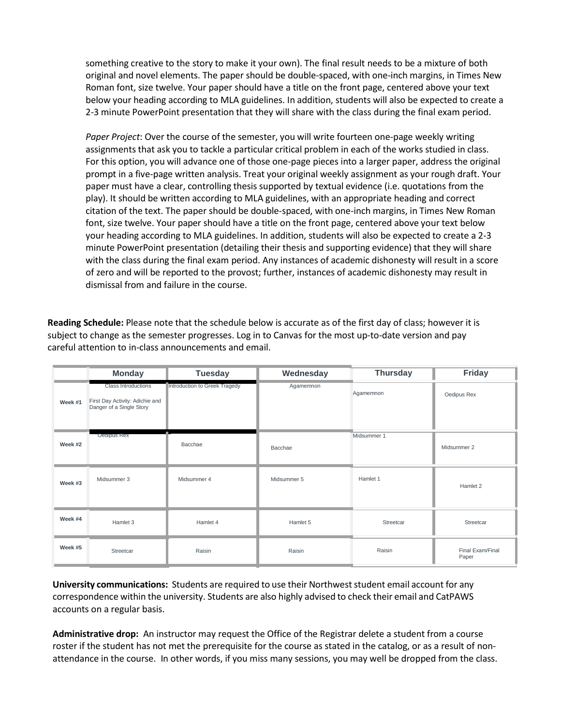something creative to the story to make it your own). The final result needs to be a mixture of both original and novel elements. The paper should be double-spaced, with one-inch margins, in Times New Roman font, size twelve. Your paper should have a title on the front page, centered above your text below your heading according to MLA guidelines. In addition, students will also be expected to create a 2-3 minute PowerPoint presentation that they will share with the class during the final exam period.

*Paper Project*: Over the course of the semester, you will write fourteen one-page weekly writing assignments that ask you to tackle a particular critical problem in each of the works studied in class. For this option, you will advance one of those one-page pieces into a larger paper, address the original prompt in a five-page written analysis. Treat your original weekly assignment as your rough draft. Your paper must have a clear, controlling thesis supported by textual evidence (i.e. quotations from the play). It should be written according to MLA guidelines, with an appropriate heading and correct citation of the text. The paper should be double-spaced, with one-inch margins, in Times New Roman font, size twelve. Your paper should have a title on the front page, centered above your text below your heading according to MLA guidelines. In addition, students will also be expected to create a 2-3 minute PowerPoint presentation (detailing their thesis and supporting evidence) that they will share with the class during the final exam period. Any instances of academic dishonesty will result in a score of zero and will be reported to the provost; further, instances of academic dishonesty may result in dismissal from and failure in the course.

**Reading Schedule:** Please note that the schedule below is accurate as of the first day of class; however it is subject to change as the semester progresses. Log in to Canvas for the most up-to-date version and pay careful attention to in-class announcements and email.

|         | <b>Monday</b>                                                                             | <b>Tuesday</b>                | Wednesday   | <b>Thursday</b> | Friday                    |
|---------|-------------------------------------------------------------------------------------------|-------------------------------|-------------|-----------------|---------------------------|
| Week #1 | <b>Class Introductions</b><br>First Day Activity: Adichie and<br>Danger of a Single Story | Introduction to Greek Tragedy | Agamemnon   | Agamemnon       | Oedipus Rex               |
| Week #2 | Oedipus Rex                                                                               | Bacchae                       | Bacchae     | Midsummer 1     | Midsummer 2               |
| Week #3 | Midsummer 3                                                                               | Midsummer 4                   | Midsummer 5 | Hamlet 1        | Hamlet 2                  |
| Week #4 | Hamlet 3                                                                                  | Hamlet 4                      | Hamlet 5    | Streetcar       | Streetcar                 |
| Week #5 | Streetcar                                                                                 | Raisin                        | Raisin      | Raisin          | Final Exam/Final<br>Paper |

**University communications:** Students are required to use their Northweststudent email account for any correspondence within the university. Students are also highly advised to check their email and CatPAWS accounts on a regular basis.

**Administrative drop:** An instructor may request the Office of the Registrar delete a student from a course roster if the student has not met the prerequisite for the course as stated in the catalog, or as a result of nonattendance in the course. In other words, if you miss many sessions, you may well be dropped from the class.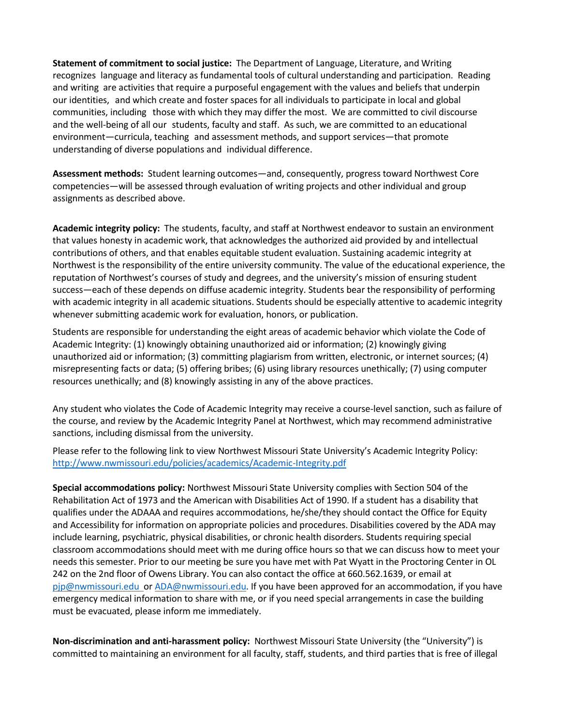**Statement of commitment to social justice:** The Department of Language, Literature, and Writing recognizes language and literacy as fundamental tools of cultural understanding and participation. Reading and writing are activities that require a purposeful engagement with the values and beliefs that underpin our identities, and which create and foster spaces for all individuals to participate in local and global communities, including those with which they may differ the most. We are committed to civil discourse and the well-being of all our students, faculty and staff. As such, we are committed to an educational environment—curricula, teaching and assessment methods, and support services—that promote understanding of diverse populations and individual difference.

**Assessment methods:** Student learning outcomes—and, consequently, progress toward Northwest Core competencies—will be assessed through evaluation of writing projects and other individual and group assignments as described above.

**Academic integrity policy:** The students, faculty, and staff at Northwest endeavor to sustain an environment that values honesty in academic work, that acknowledges the authorized aid provided by and intellectual contributions of others, and that enables equitable student evaluation. Sustaining academic integrity at Northwest is the responsibility of the entire university community. The value of the educational experience, the reputation of Northwest's courses of study and degrees, and the university's mission of ensuring student success—each of these depends on diffuse academic integrity. Students bear the responsibility of performing with academic integrity in all academic situations. Students should be especially attentive to academic integrity whenever submitting academic work for evaluation, honors, or publication.

Students are responsible for understanding the eight areas of academic behavior which violate the Code of Academic Integrity: (1) knowingly obtaining unauthorized aid or information; (2) knowingly giving unauthorized aid or information; (3) committing plagiarism from written, electronic, or internet sources; (4) misrepresenting facts or data; (5) offering bribes; (6) using library resources unethically; (7) using computer resources unethically; and (8) knowingly assisting in any of the above practices.

Any student who violates the Code of Academic Integrity may receive a course-level sanction, such as failure of the course, and review by the Academic Integrity Panel at Northwest, which may recommend administrative sanctions, including dismissal from the university.

Please refer to the following link to view Northwest Missouri State University's Academic Integrity Policy: <http://www.nwmissouri.edu/policies/academics/Academic-Integrity.pdf>

**Special accommodations policy:** Northwest Missouri State University complies with Section 504 of the Rehabilitation Act of 1973 and the American with Disabilities Act of 1990. If a student has a disability that qualifies under the ADAAA and requires accommodations, he/she/they should contact the Office for Equity and Accessibility for information on appropriate policies and procedures. Disabilities covered by the ADA may include learning, psychiatric, physical disabilities, or chronic health disorders. Students requiring special classroom accommodations should meet with me during office hours so that we can discuss how to meet your needs this semester. Prior to our meeting be sure you have met with Pat Wyatt in the Proctoring Center in OL 242 on the 2nd floor of Owens Library. You can also contact the office at 660.562.1639, or email at [pjp@nwmissouri.edu](mailto:pjp@nwmissouri.edu) or [ADA@nwmissouri.edu.](mailto:ADA@nwmissouri.edu) If you have been approved for an accommodation, if you have emergency medical information to share with me, or if you need special arrangements in case the building must be evacuated, please inform me immediately.

**Non-discrimination and anti-harassment policy:** Northwest Missouri State University (the "University") is committed to maintaining an environment for all faculty, staff, students, and third parties that is free of illegal